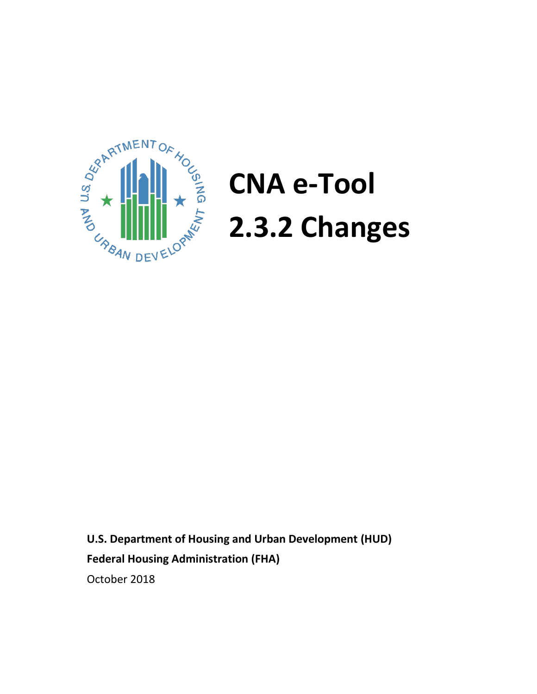

# **CNA e-Tool 2.3.2 Changes**

**U.S. Department of Housing and Urban Development (HUD) Federal Housing Administration (FHA)** October 2018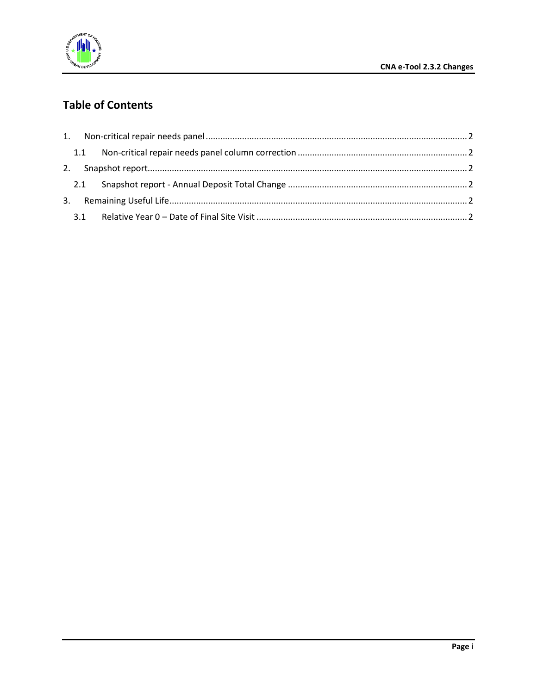

# **Table of Contents**

| 1.1 |  |
|-----|--|
|     |  |
|     |  |
|     |  |
| 3.1 |  |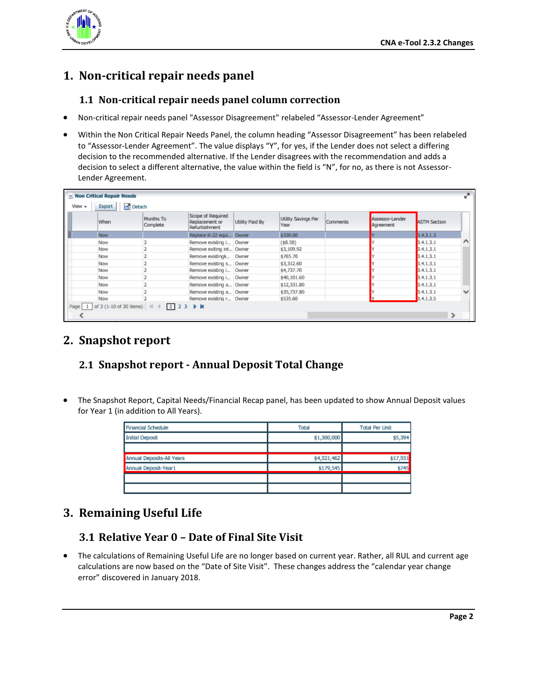

## <span id="page-2-1"></span><span id="page-2-0"></span>**1. Non-critical repair needs panel**

#### **1.1 Non-critical repair needs panel column correction**

- Non-critical repair needs panel "Assessor Disagreement" relabeled "Assessor-Lender Agreement"
- Within the Non Critical Repair Needs Panel, the column heading "Assessor Disagreement" has been relabeled to "Assessor-Lender Agreement". The value displays "Y", for yes, if the Lender does not select a differing decision to the recommended alternative. If the Lender disagrees with the recommendation and adds a decision to select a different alternative, the value within the field is "N", for no, as there is not Assessor-Lender Agreement.

|          | <b>× Non Critical Repair Needs</b> |                                                  |                                                      |                 |                             |          |                              |                     |  |
|----------|------------------------------------|--------------------------------------------------|------------------------------------------------------|-----------------|-----------------------------|----------|------------------------------|---------------------|--|
| View +   | Detach<br>Export                   |                                                  |                                                      |                 |                             |          |                              |                     |  |
|          | When                               | Months To<br>Complete                            | Scope of Required<br>Replacement or<br>Refurbishment | Utility Paid By | Utility Savings Per<br>Year | Comments | Assessor-Lender<br>Agreement | <b>ASTM Section</b> |  |
|          | Now                                |                                                  | Replace R-22 equi Owner                              |                 | \$330.00                    |          |                              | 3.4.3.1.3           |  |
|          | Now                                |                                                  | Remove existing i Owner                              |                 | ( \$8.58)                   |          |                              | 3.4.1.3.1           |  |
|          | Now                                |                                                  | Remove exiting int Owner                             |                 | \$3,109.92                  |          |                              | 3.4.1.3.1           |  |
|          | Now                                |                                                  | Remove existingk Owner                               |                 | \$765.70                    |          |                              | 3.4.1.3.1           |  |
|          | Now                                |                                                  | Remove existing s Owner                              |                 | \$3,312.60                  |          |                              | 3.4.1.3.1           |  |
|          | Now                                |                                                  | Remove existing i Owner                              |                 | \$4,737.70                  |          |                              | 3.4.1.3.1           |  |
|          | Now                                |                                                  | Remove existing i Owner                              |                 | \$40,101.60                 |          |                              | 3.4.1.3.1           |  |
|          | Now                                |                                                  | Remove existing a Owner                              |                 | \$12,331.80                 |          |                              | 3.4.1.3.1           |  |
|          | Now                                |                                                  | Remove existing a Owner                              |                 | \$35,737.80                 |          |                              | 3.4.1.3.1           |  |
|          | Now                                |                                                  | Remove existing r Owner                              |                 | \$535.60                    |          |                              | 3.4.1.3.5           |  |
| Page   1 |                                    | of 3 (1-10 of 30 items)             2 3 <b>b</b> |                                                      |                 |                             |          |                              |                     |  |
|          |                                    |                                                  |                                                      |                 |                             |          |                              |                     |  |

## <span id="page-2-2"></span>**2. Snapshot report**

### <span id="page-2-3"></span>**2.1 Snapshot report - Annual Deposit Total Change**

• The Snapshot Report, Capital Needs/Financial Recap panel, has been updated to show Annual Deposit values for Year 1 (in addition to All Years).

| Financial Schedule        | Total       | <b>Total Per Unit</b> |  |
|---------------------------|-------------|-----------------------|--|
| <b>Initial Deposit</b>    | \$1,300,000 | \$5,394               |  |
|                           |             |                       |  |
| Annual Deposits-All Years | \$4,321,462 | \$17,931              |  |
| Annual Deposit-Year1      | \$179,545   | \$745                 |  |
|                           |             |                       |  |
|                           |             |                       |  |

### <span id="page-2-5"></span><span id="page-2-4"></span>**3. Remaining Useful Life**

#### **3.1 Relative Year 0 – Date of Final Site Visit**

• The calculations of Remaining Useful Life are no longer based on current year. Rather, all RUL and current age calculations are now based on the "Date of Site Visit". These changes address the "calendar year change error" discovered in January 2018.